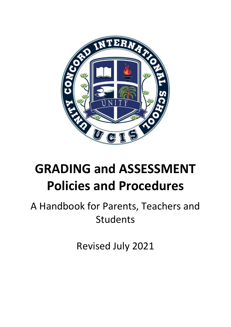

# **GRADING and ASSESSMENT Policies and Procedures**

## A Handbook for Parents, Teachers and Students

Revised July 2021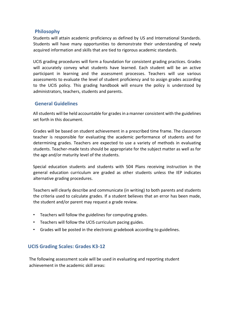### **Philosophy**

Students will attain academic proficiency as defined by US and International Standards. Students will have many opportunities to demonstrate their understanding of newly acquired information and skills that are tied to rigorous academic standards.

UCIS grading procedures will form a foundation for consistent grading practices. Grades will accurately convey what students have learned. Each student will be an active participant in learning and the assessment processes. Teachers will use various assessments to evaluate the level of student proficiency and to assign grades according to the UCIS policy. This grading handbook will ensure the policy is understood by administrators, teachers, students and parents.

### **General Guidelines**

All students will be held accountable for grades in a manner consistent with the guidelines set forth in this document.

Grades will be based on student achievement in a prescribed time frame. The classroom teacher is responsible for evaluating the academic performance of students and for determining grades. Teachers are expected to use a variety of methods in evaluating students. Teacher-made tests should be appropriate for the subject matter as well as for the age and/or maturity level of the students.

Special education students and students with 504 Plans receiving instruction in the general education curriculum are graded as other students unless the IEP indicates alternative grading procedures.

Teachers will clearly describe and communicate (in writing) to both parents and students the criteria used to calculate grades. If a student believes that an error has been made, the student and/or parent may request a grade review.

- Teachers will follow the guidelines for computing grades.
- Teachers will follow the UCIS curriculum pacing guides.
- Grades will be posted in the electronic gradebook according to guidelines.

### **UCIS Grading Scales: Grades K3-12**

The following assessment scale will be used in evaluating and reporting student achievement in the academic skill areas: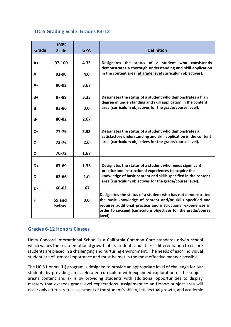### **UCIS Grading Scale: Grades K3-12**

| Grade        | 100%<br><b>Scale</b> | <b>GPA</b> | <b>Definition</b>                                                                                                                                                                                                                                                     |
|--------------|----------------------|------------|-----------------------------------------------------------------------------------------------------------------------------------------------------------------------------------------------------------------------------------------------------------------------|
| $A+$         | 97-100               | 4.33       | Designates the status of a student who consistently<br>demonstrates a thorough understanding and skill application                                                                                                                                                    |
| A            | 93-96                | 4.0        | in the content area (at grade level curriculum objectives).                                                                                                                                                                                                           |
| А-           | 90-92                | 3.67       |                                                                                                                                                                                                                                                                       |
| $B+$         | 87-89                | 3.33       | Designates the status of a student who demonstrates a high<br>degree of understanding and skill application in the content                                                                                                                                            |
| B            | 83-86                | 3.0        | area (curriculum objectives for the grade/course level).                                                                                                                                                                                                              |
| <b>B-</b>    | 80-82                | 2.67       |                                                                                                                                                                                                                                                                       |
| $C+$         | 77-79                | 2.33       | Designates the status of a student who demonstrates a<br>satisfactory understanding and skill application in the content                                                                                                                                              |
| $\mathsf{C}$ | 73-76                | 2.0        | area (curriculum objectives for the grade/course level).                                                                                                                                                                                                              |
| $C -$        | 70-72                | 1.67       |                                                                                                                                                                                                                                                                       |
| D+           | 67-69                | 1.33       | Designates the status of a student who needs significant<br>practice and instructional experiences to acquire the                                                                                                                                                     |
| D            | 63-66                | 1.0        | knowledge of basic content and skills specified in the content<br>area (curriculum objectives for the grade/course level).                                                                                                                                            |
| D-           | 60-62                | .67        |                                                                                                                                                                                                                                                                       |
| F            | 59 and<br>below      | 0.0        | Designates the status of a student who has not demonstrated<br>the basic knowledge of content and/or skills specified and<br>requires additional practice and instructional experiences in<br>order to succeed (curriculum objectives for the grade/course<br>level). |

### **Grades 6-12 Honors Classes**

Unity Concord International School is a California Common Core standards-driven school which values the socio-emotional growth of its students and utilizes differentiation to ensure students are placed in a challenging and nurturing environment. The needs of each individual student are of utmost importance and must be met in the most effective manner possible.

The UCIS Honors (H) program is designed to provide an appropriate level of challenge for our students by providing an accelerated curriculum with expanded exploration of the subject area's content and skills by providing students with additional opportunities to display mastery that exceeds grade-level expectations. Assignment to an Honors subject area will occur only after careful assessment of the student's ability, intellectual growth, and academic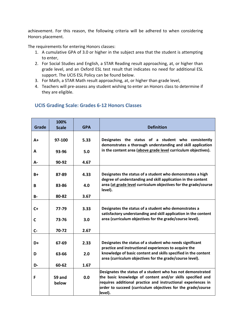achievement. For this reason, the following criteria will be adhered to when considering Honors placement.

The requirements for entering Honors classes:

- 1. A cumulative GPA of 3.0 or higher in the subject area that the student is attempting to enter,
- 2. For Social Studies and English, a STAR Reading result approaching, at, or higher than grade level, and an Oxford ESL test result that indicates no need for additional ESL support. The UCIS ESL Policy can be found below.
- 3. For Math, a STAR Math result approaching, at, or higher than grade level,
- 4. Teachers will pre-assess any student wishing to enter an Honors class to determine if they are eligible.

| Grade       | 100%<br><b>Scale</b> | <b>GPA</b> | <b>Definition</b>                                                                                                                                                                                                                                                     |
|-------------|----------------------|------------|-----------------------------------------------------------------------------------------------------------------------------------------------------------------------------------------------------------------------------------------------------------------------|
| $A+$        | 97-100               | 5.33       | Designates the status of a student who consistently<br>demonstrates a thorough understanding and skill application                                                                                                                                                    |
| A           | 93-96                | 5.0        | in the content area (above grade level curriculum objectives).                                                                                                                                                                                                        |
| А-          | 90-92                | 4.67       |                                                                                                                                                                                                                                                                       |
| $B+$        | 87-89                | 4.33       | Designates the status of a student who demonstrates a high<br>degree of understanding and skill application in the content                                                                                                                                            |
| B           | 83-86                | 4.0        | area (at grade level curriculum objectives for the grade/course<br>level).                                                                                                                                                                                            |
| <b>B-</b>   | 80-82                | 3.67       |                                                                                                                                                                                                                                                                       |
| $C+$        | 77-79                | 3.33       | Designates the status of a student who demonstrates a<br>satisfactory understanding and skill application in the content                                                                                                                                              |
| $\mathbf c$ | 73-76                | 3.0        | area (curriculum objectives for the grade/course level).                                                                                                                                                                                                              |
| $C -$       | 70-72                | 2.67       |                                                                                                                                                                                                                                                                       |
| D+          | 67-69                | 2.33       | Designates the status of a student who needs significant<br>practice and instructional experiences to acquire the                                                                                                                                                     |
| D           | 63-66                | 2.0        | knowledge of basic content and skills specified in the content<br>area (curriculum objectives for the grade/course level).                                                                                                                                            |
| D-          | 60-62                | 1.67       |                                                                                                                                                                                                                                                                       |
| F           | 59 and<br>below      | 0.0        | Designates the status of a student who has not demonstrated<br>the basic knowledge of content and/or skills specified and<br>requires additional practice and instructional experiences in<br>order to succeed (curriculum objectives for the grade/course<br>level). |

### **UCIS Grading Scale: Grades 6-12 Honors Classes**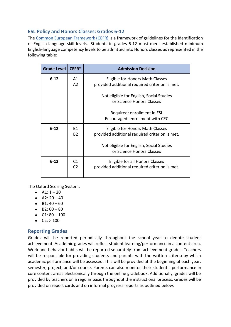### **ESL Policy and Honors Classes: Grades 6-12**

The [Common European Framework \(CEFR\)](https://www.coe.int/en/web/common-european-framework-reference-languages/table-1-cefr-3.3-common-reference-levels-global-scale) is a framework of guidelines for the identification of English-language skill levels. Students in grades 6-12 must meet established minimum English-language competency levels to be admitted into Honors classes as represented in the following table:

| <b>Grade Level</b> | $CEFR*$                          | <b>Admission Decision</b>                                                          |
|--------------------|----------------------------------|------------------------------------------------------------------------------------|
| $6 - 12$           | Α1<br>A <sub>2</sub>             | Eligible for Honors Math Classes<br>provided additional required criterion is met. |
|                    |                                  | Not eligible for English, Social Studies<br>or Science Honors Classes              |
|                    |                                  | Required: enrollment in ESL<br>Encouraged: enrollment with CEC                     |
| $6 - 12$           | B1<br><b>B2</b>                  | Eligible for Honors Math Classes<br>provided additional required criterion is met. |
|                    |                                  | Not eligible for English, Social Studies<br>or Science Honors Classes              |
| $6 - 12$           | C <sub>1</sub><br>C <sub>2</sub> | Eligible for all Honors Classes<br>provided additional required criterion is met.  |

The Oxford Scoring System:

- $A1: 1 20$
- $\bullet$  A2: 20 40
- $-B1: 40 60$
- $-B2:60 80$
- $\bullet$  C1: 80 100
- $\bullet$  C2: > 100

### **Reporting Grades**

Grades will be reported periodically throughout the school year to denote student achievement. Academic grades will reflect student learning/performance in a content area. Work and behavior habits will be reported separately from achievement grades. Teachers will be responsible for providing students and parents with the written criteria by which academic performance will be assessed. This will be provided at the beginning of each year, semester, project, and/or course. Parents can also monitor their student's performance in core content areas electronically through the online gradebook. Additionally, grades will be provided by teachers on a regular basis throughout the instructional process. Grades will be provided on report cards and on informal progress reports as outlined below: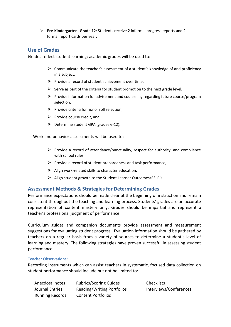⮚ **Pre-Kindergarten- Grade 12**: Students receive 2 informal progress reports and 2 formal report cards per year.

### **Use of Grades**

Grades reflect student learning; academic grades will be used to:

- $\triangleright$  Communicate the teacher's assessment of a student's knowledge of and proficiency in a subject,
- $\triangleright$  Provide a record of student achievement over time,
- $\triangleright$  Serve as part of the criteria for student promotion to the next grade level,
- $\triangleright$  Provide information for advisement and counseling regarding future course/program selection,
- $\triangleright$  Provide criteria for honor roll selection,
- $\triangleright$  Provide course credit, and
- $\triangleright$  Determine student GPA (grades 6-12).

Work and behavior assessments will be used to:

- $\triangleright$  Provide a record of attendance/punctuality, respect for authority, and compliance with school rules,
- $\triangleright$  Provide a record of student preparedness and task performance,
- $\triangleright$  Align work-related skills to character education,
- $\triangleright$  Align student growth to the Student Learner Outcomes/ESLR's.

### **Assessment Methods & Strategies for Determining Grades**

Performance expectations should be made clear at the beginning of instruction and remain consistent throughout the teaching and learning process. Students' grades are an accurate representation of content mastery only. Grades should be impartial and represent a teacher's professional judgment of performance.

Curriculum guides and companion documents provide assessment and measurement suggestions for evaluating student progress. Evaluation information should be gathered by teachers on a regular basis from a variety of sources to determine a student's level of learning and mastery. The following strategies have proven successful in assessing student performance:

### **Teacher Observations:**

Recording instruments which can assist teachers in systematic, focused data collection on student performance should include but not be limited to:

Anecdotal notes Rubrics/Scoring Guides Checklists Journal Entries Reading/Writing Portfolios Interviews/Conferences Running Records Content Portfolios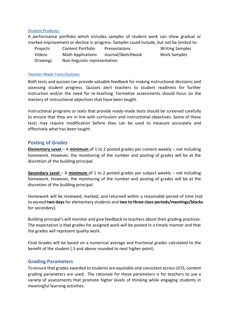#### **Student Products:**

A performance portfolio which includes samples of student work can show gradual or marked improvement or decline in progress. Samples could include, but not be limited to:

| Projects | <b>Content Portfolio</b>      | <b>Presentations</b> | <b>Writing Samples</b> |
|----------|-------------------------------|----------------------|------------------------|
| Videos   | <b>Math Applications</b>      | Journal/Sketchbook   | Work Samples           |
| Drawings | Non-linguistic representation |                      |                        |

#### **Teacher-Made Tests/Quizzes:**

Both tests and quizzes can provide valuable feedback for making instructional decisions and assessing student progress. Quizzes alert teachers to student readiness for further instruction and/or the need for re-teaching. Formative assessments should focus on the mastery of instructional objectives that have been taught.

Instructional programs or texts that provide ready-made tests should be screened carefully to ensure that they are in line with curriculum and instructional objectives. Some of these tests may require modification before they can be used to measure accurately and effectively what has been taught.

### **Posting of Grades**

**Elementary Level** – A **minimum** of 1 to 2 posted grades per content weekly – not including homework. However, the monitoring of the number and posting of grades will be at the discretion of the building principal.

**Secondary Level** – A **minimum** of 1 to 2 posted grades per subject weekly – not including homework. However, the monitoring of the number and posting of grades will be at the discretion of the building principal.

Homework will be reviewed, marked, and returned within a reasonable period of time (not to exceed **two days** for elementary students and **two to three class periods/meetings/blocks**  for secondary).

Building principal's will monitor and give feedback to teachers about their grading practices. The expectation is that grades for assigned work will be posted in a timely manner and that the grades will represent quality work.

Final Grades will be based on a numerical average and fractional grades calculated to the benefit of the student (.5 and above rounded to next higher point).

### **Grading Parameters**

To ensure that grades awarded to students are equitable and consistent across UCIS, content grading parameters are used. The rationale for these parameters is for teachers to use a variety of assessments that promote higher levels of thinking while engaging students in meaningful learning activities.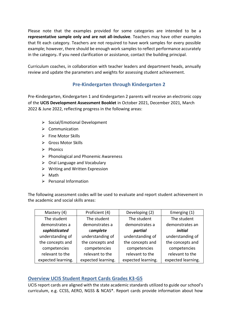Please note that the examples provided for some categories are intended to be a **representative sample only and are not all-inclusive**. Teachers may have other examples that fit each category. Teachers are not required to have work samples for every possible example; however, there should be enough work samples to reflect performance accurately in the category**.** If you need clarification or assistance, contact the building principal.

Curriculum coaches, in collaboration with teacher leaders and department heads, annually review and update the parameters and weights for assessing student achievement.

### **Pre-Kindergarten through Kindergarten 2**

Pre-Kindergarten, Kindergarten 1 and Kindergarten 2 parents will receive an electronic copy of the **UCIS Development Assessment Booklet** in October 2021, December 2021, March 2022 & June 2022, reflecting progress in the following areas:

- ⮚ Social/Emotional Development
- $\triangleright$  Communication
- $\triangleright$  Fine Motor Skills
- $\triangleright$  Gross Motor Skills
- $\triangleright$  Phonics
- $\triangleright$  Phonological and Phonemic Awareness
- $\triangleright$  Oral Language and Vocabulary
- $\triangleright$  Writing and Written Expression
- $\triangleright$  Math
- $\triangleright$  Personal Information

The following assessment codes will be used to evaluate and report student achievement in the academic and social skills areas:

| Mastery (4)        | Proficient (4)     | Developing (2)     | Emerging (1)       |
|--------------------|--------------------|--------------------|--------------------|
| The student        | The student        | The student        | The student        |
| demonstrates a     | demonstrates a     | demonstrates a     | demonstrates an    |
| sophisticated      | complete           | partial            | initial            |
| understanding of   | understanding of   | understanding of   | understanding of   |
| the concepts and   | the concepts and   | the concepts and   | the concepts and   |
| competencies       | competencies       | competencies       | competencies       |
| relevant to the    | relevant to the    | relevant to the    | relevant to the    |
| expected learning. | expected learning. | expected learning. | expected learning. |

### **Overview UCIS Student Report Cards Grades K3-G5**

UCIS report cards are aligned with the state academic standards utilized to guide our school's curriculum, e.g. CCSS, AERO, NGSS & NCAS\*. Report cards provide information about how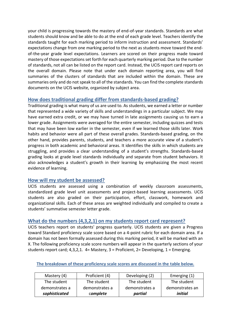your child is progressing towards the mastery of end-of-year standards. Standards are what students should know and be able to do at the end of each grade level. Teachers identify the standards taught for each marking period to inform instruction and assessment. Standards' expectations change from one marking period to the next as students move toward the endof-the-year grade level expectations. Learners are scored on their progress made toward mastery of those expectations set forth for each quarterly marking period. Due to the number of standards, not all can be listed on the report card. Instead, the UCIS report card reports on the overall domain. Please note that under each domain reporting area, you will find summaries of the clusters of standards that are included within the domain. These are summaries only and do not speak to all of the standards. You can find the complete standards documents on the UCIS website, organized by subject area.

### **How does traditional grading differ from standards-based grading?**

Traditional grading is what many of us are used to. As students, we earned a letter or number that represented a wide variety of skills and understandings in a particular subject. We may have earned extra credit, or we may have turned in late assignments causing us to earn a lower grade. Assignments were averaged for the entire semester, including quizzes and tests that may have been low earlier in the semester, even if we learned those skills later. Work habits and behavior were all part of these overall grades. Standards-based grading, on the other hand, provides parents, students, and teachers a more accurate view of a student's progress in both academic and behavioral areas. It identifies the skills in which students are struggling, and provides a clear understanding of a student's strengths. Standards-based grading looks at grade level standards individually and separate from student behaviors. It also acknowledges a student's growth in their learning by emphasizing the most recent evidence of learning.

### **How will my student be assessed?**

UCIS students are assessed using a combination of weekly classroom assessments, standardized grade level unit assessments and project-based learning assessments. UCIS students are also graded on their participation, effort, classwork, homework and organizational skills. Each of these areas are weighted individually and compiled to create a students' summative semester letter grade.

### **What do the numbers (4,3,2,1) on my students report card represent?**

UCIS teachers report on students' progress quarterly. UCIS students are given a Progress toward Standard proficiency scale score based on a 4-point rubric for each domain area. If a domain has not been formally assessed during this marking period, it will be marked with an X. The following proficiency scale score numbers will appear in the quarterly sections of your students report card; 4,3,2,1. 4= Mastery, 3 = Proficient, 2= Developing, 1 = Emerging.

| Mastery (4)    | Proficient (4) | Developing (2) | Emerging (1)    |
|----------------|----------------|----------------|-----------------|
| The student    | The student    | The student    | The student     |
| demonstrates a | demonstrates a | demonstrates a | demonstrates an |
| sophisticated  | complete       | partial        | initial         |

### **The breakdown of these proficiency scale scores are discussed in the table below.**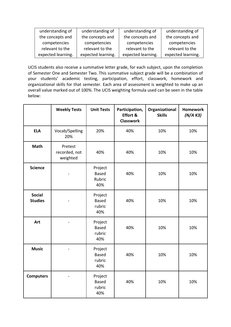| understanding of   | understanding of   | understanding of   | understanding of   |
|--------------------|--------------------|--------------------|--------------------|
| the concepts and   | the concepts and   | the concepts and   | the concepts and   |
| competencies       | competencies       | competencies       | competencies       |
| relevant to the    | relevant to the    | relevant to the    | relevant to the    |
| expected learning. | expected learning. | expected learning. | expected learning. |

UCIS students also receive a summative letter grade, for each subject, upon the completion of Semester One and Semester Two. This summative subject grade will be a combination of your students' academic testing, participation, effort, classwork, homework and organizational skills for that semester. Each area of assessment is weighted to make up an overall value marked out of 100%. The UCIS weighting formula used can be seen in the table below:

|                                 | <b>Weekly Tests</b>                  | <b>Unit Tests</b>                        | Participation,<br>Effort &<br><b>Classwork</b> | Organizational<br><b>Skills</b> | <b>Homework</b><br>(N/A K3) |
|---------------------------------|--------------------------------------|------------------------------------------|------------------------------------------------|---------------------------------|-----------------------------|
| <b>ELA</b>                      | Vocab/Spelling<br>20%                | 20%                                      | 40%                                            | 10%                             | 10%                         |
| <b>Math</b>                     | Pretest<br>recorded, not<br>weighted | 40%                                      | 40%                                            | 10%                             | 10%                         |
| <b>Science</b>                  |                                      | Project<br><b>Based</b><br>Rubric<br>40% | 40%                                            | 10%                             | 10%                         |
| <b>Social</b><br><b>Studies</b> |                                      | Project<br><b>Based</b><br>rubric<br>40% | 40%                                            | 10%                             | 10%                         |
| Art                             |                                      | Project<br><b>Based</b><br>rubric<br>40% | 40%                                            | 10%                             | 10%                         |
| <b>Music</b>                    |                                      | Project<br><b>Based</b><br>rubric<br>40% | 40%                                            | 10%                             | 10%                         |
| <b>Computers</b>                |                                      | Project<br><b>Based</b><br>rubric<br>40% | 40%                                            | 10%                             | 10%                         |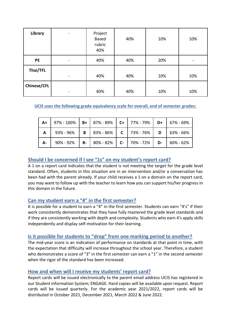| Library            | -                            | Project<br>Based<br>rubric<br>40% | 40% | 10% | 10% |
|--------------------|------------------------------|-----------------------------------|-----|-----|-----|
| <b>PE</b>          |                              | 40%                               | 40% | 20% |     |
| Thai/TFL           | $\qquad \qquad \blacksquare$ | 40%                               | 40% | 10% | 10% |
| <b>Chinese/CFL</b> | -                            | 40%                               | 40% | 10% | 10% |

### **UCIS uses the following grade equivalency scale for overall, end of semester grades:**

| $A+$         | 97% - 100%   B+   87% - 89%   C+   77% - 79%   D+   67% - 69% |           |                                                                                |  |                 |
|--------------|---------------------------------------------------------------|-----------|--------------------------------------------------------------------------------|--|-----------------|
| $\mathsf{A}$ |                                                               |           | 93% - 96%   <b>B</b>   83% - 86%   <b>C</b>   73% - 76%   <b>D</b>   63% - 66% |  |                 |
| - A          | $90\% - 92\%$                                                 | <b>B-</b> | $80\% - 82\%$   C-   70% - 72%   D-                                            |  | $  60\% - 62\%$ |

### **Should I be concerned if I see "1s" on my student's report card?**

A 1 on a report card indicates that the student is not meeting the target for the grade level standard. Often, students in this situation are in an intervention and/or a conversation has been had with the parent already. If your child receives a 1 on a domain on the report card, you may want to follow up with the teacher to learn how you can support his/her progress in this domain in the future.

### **Can my student earn a "4" in the first semester?**

It is possible for a student to earn a "4" in the first semester. Students can earn "4's" if their work consistently demonstrates that they have fully mastered the grade level standards and if they are consistently working with depth and complexity. Students who earn 4's apply skills independently and display self-motivation for their learning.

### **Is it possible for students to "drop" from one marking period to another?**

The mid-year score is an indication of performance on standards at that point in time, with the expectation that difficulty will increase throughout the school year. Therefore, a student who demonstrates a score of "3" in the first semester can earn a "1" in the second semester when the rigor of the standard has been increased.

### **How and when will I receive my students' report card?**

Report cards will be issued electronically to the parent email address UCIS has registered in our Student information System; ENGAGE. Hard copies will be available upon request. Report cards will be issued quarterly. For the academic year 2021/2022, report cards will be distributed in October 2021, December 2021, March 2022 & June 2022.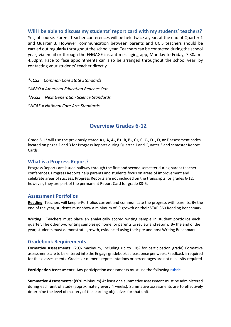### **Will I be able to discuss my students' report card with my students' teachers?**

Yes, of course. Parent-Teacher conferences will be held twice a year, at the end of Quarter 1 and Quarter 3. However, communication between parents and UCIS teachers should be carried out regularly throughout the school year. Teachers can be contacted during the school year, via email or through the ENGAGE instant messaging app, Monday to Friday, 7.30am - 4.30pm. Face to face appointments can also be arranged throughout the school year, by contacting your students' teacher directly.

*\*CCSS = Common Core State Standards \*AERO = American Education Reaches Out \*NGSS = Next Generation Science Standards \*NCAS = National Core Arts Standards* 

### **Overview Grades 6-12**

Grade 6-12 will use the previously stated **A+, A, A-, B+, B, B-, C+, C, C-, D+, D, or F** assessment codes located on pages 2 and 3 for Progress Reports during Quarter 1 and Quarter 3 and semester Report Cards.

### **What is a Progress Report?**

Progress Reports are issued halfway through the first and second semester during parent teacher conferences. Progress Reports help parents and students focus on areas of improvement and celebrate areas of success. Progress Reports are not included on the transcripts for grades 6-12; however, they are part of the permanent Report Card for grade K3-5.

### **Assessment Portfolios**

**Reading:** Teachers will keep e-Portfolios current and communicate the progress with parents. By the end of the year, students must show a minimum of .9 growth on their STAR 360 Reading Benchmark.

**Writing:** Teachers must place an analytically scored writing sample in student portfolios each quarter. The other two writing samples go home for parents to review and return. By the end of the year, students must demonstrate growth, evidenced using their pre and post Writing Benchmark.

### **Gradebook Requirements**

**Formative Assessments:** (20% maximum, including up to 10% for participation grade) Formative assessments are to be entered into the Engage gradebook at least once per week. Feedback is required for these assessments. Grades or numeric representations or percentages are not necessity required

**Participation Assessments:** Any participation assessments must use the following [rubric](https://docs.google.com/document/d/1fhSFf-XaxgLnYo5fG9M85JcK0iEocJ2ilvjiZ9Ad1MI/edit)

**Summative Assessments:** (80% minimum) At least one summative assessment must be administered during each unit of study (approximately every 4 weeks). Summative assessments are to effectively determine the level of mastery of the learning objectives for that unit.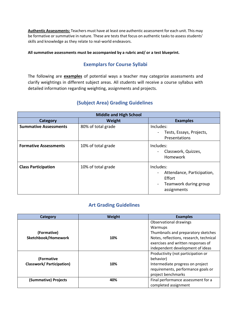**Authentic Assessments:** Teachers must have at least one authentic assessment for each unit. This may be formative or summative in nature. These are tests that focus on authentic tasks to assess students' skills and knowledge as they relate to real-world endeavors.

**All summative assessments must be accompanied by a rubric and/ or a test blueprint.** 

### **Exemplars for Course Syllabi**

The following are **examples** of potential ways a teacher may categorize assessments and clarify weightings in different subject areas. All students will receive a course syllabus with detailed information regarding weighting, assignments and projects.

### **(Subject Area) Grading Guidelines**

| <b>Middle and High School</b> |                    |                                                                                           |  |  |  |
|-------------------------------|--------------------|-------------------------------------------------------------------------------------------|--|--|--|
| Category                      | Weight             | <b>Examples</b>                                                                           |  |  |  |
| <b>Summative Assessments</b>  | 80% of total grade | Includes:<br>Tests, Essays, Projects,<br>Presentations                                    |  |  |  |
| <b>Formative Assessments</b>  | 10% of total grade | Includes:<br>Classwork, Quizzes,<br>Homework                                              |  |  |  |
| <b>Class Participation</b>    | 10% of total grade | Includes:<br>Attendance, Participation,<br>Effort<br>Teamwork during group<br>assignments |  |  |  |

### **Art Grading Guidelines**

| <b>Category</b>                 | Weight | <b>Examples</b>                         |
|---------------------------------|--------|-----------------------------------------|
|                                 |        | Observational drawings                  |
|                                 |        | Warmups                                 |
| (Formative)                     |        | Thumbnails and preparatory sketches     |
| Sketchbook/Homework             | 10%    | Notes, reflections, research, technical |
|                                 |        | exercises and written responses of      |
|                                 |        | independent development of ideas        |
|                                 |        | Productivity (not participation or      |
| (Formative                      |        | behavior)                               |
| <b>Classwork/Participation)</b> | 10%    | Intermediate progress on project        |
|                                 |        | requirements, performance goals or      |
|                                 |        | project benchmarks                      |
| (Summative) Projects            | 40%    | Final performance assessment for a      |
|                                 |        | completed assignment                    |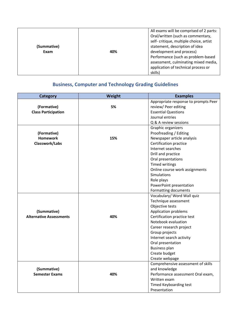| (Summative)<br>Exam | 40% | All exams will be comprised of 2 parts:<br>Oral/written (such as commentary,<br>self- critique, multiple choice, artist<br>statement, description of idea<br>development and process)<br>Performance (such as problem-based<br>assessment, culminating mixed media,<br>application of technical process or<br>skills) |
|---------------------|-----|-----------------------------------------------------------------------------------------------------------------------------------------------------------------------------------------------------------------------------------------------------------------------------------------------------------------------|
|---------------------|-----|-----------------------------------------------------------------------------------------------------------------------------------------------------------------------------------------------------------------------------------------------------------------------------------------------------------------------|

### **Business, Computer and Technology Grading Guidelines**

| <b>Category</b>                | Weight | <b>Examples</b>                      |
|--------------------------------|--------|--------------------------------------|
|                                |        | Appropriate response to prompts Peer |
| (Formative)                    | 5%     | review/ Peer editing                 |
| <b>Class Participation</b>     |        | <b>Essential Questions</b>           |
|                                |        | Journal entries                      |
|                                |        | Q & A review sessions                |
|                                |        | Graphic organizers                   |
| (Formative)                    |        | Proofreading / Editing               |
| <b>Homework</b>                | 15%    | Newspaper article analysis           |
| Classwork/Labs                 |        | Certification practice               |
|                                |        | Internet searches                    |
|                                |        | Drill and practice                   |
|                                |        | Oral presentations                   |
|                                |        | <b>Timed writings</b>                |
|                                |        | Online course work assignments       |
|                                |        | Simulations                          |
|                                |        | Role plays                           |
|                                |        | PowerPoint presentation              |
|                                |        | Formatting documents                 |
|                                |        | Vocabulary/ Word Wall quiz           |
|                                |        | Technique assessment                 |
|                                |        | Objective tests                      |
| (Summative)                    |        | <b>Application problems</b>          |
| <b>Alternative Assessments</b> | 40%    | Certification practice test          |
|                                |        | Notebook evaluation                  |
|                                |        | Career research project              |
|                                |        | Group projects                       |
|                                |        | Internet search activity             |
|                                |        | Oral presentation                    |
|                                |        | <b>Business plan</b>                 |
|                                |        | Create budget                        |
|                                |        | Create webpage                       |
|                                |        | Comprehensive assessment of skills   |
| (Summative)                    |        | and knowledge                        |
| <b>Semester Exams</b>          | 40%    | Performance assessment Oral exam,    |
|                                |        | Written exam                         |
|                                |        | <b>Timed Keyboarding test</b>        |
|                                |        | Presentation                         |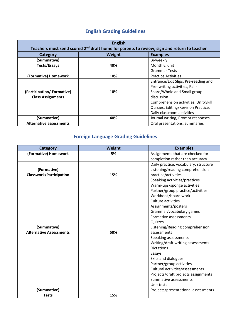### **English Grading Guidelines**

| <b>English</b><br>Teachers must send scored 2 <sup>nd</sup> draft home for parents to review, sign and return to teacher |        |                                      |
|--------------------------------------------------------------------------------------------------------------------------|--------|--------------------------------------|
| Category                                                                                                                 | Weight | <b>Examples</b>                      |
| (Summative)                                                                                                              |        | Bi-weekly                            |
| Tests/Essays                                                                                                             | 40%    | Monthly, unit                        |
|                                                                                                                          |        | <b>Grammar Tests</b>                 |
| (Formative) Homework                                                                                                     | 10%    | <b>Practice Activities</b>           |
|                                                                                                                          |        | Entrance/Exit Slips, Pre-reading and |
|                                                                                                                          |        | Pre- writing activities, Pair-       |
| (Participation/Formative)                                                                                                | 10%    | Share/Whole and Small group          |
| <b>Class Assignments</b>                                                                                                 |        | discussion                           |
|                                                                                                                          |        | Comprehension activities, Unit/Skill |
|                                                                                                                          |        | Quizzes, Editing/Revision Practice,  |
|                                                                                                                          |        | Daily classroom activities           |
| (Summative)                                                                                                              | 40%    | Journal writing, Prompt responses,   |
| <b>Alternative assessments</b>                                                                                           |        | Oral presentations, summaries        |

### **Foreign Language Grading Guidelines**

| Category                       | Weight | <b>Examples</b>                       |
|--------------------------------|--------|---------------------------------------|
| (Formative) Homework           | 5%     | Assignments that are checked for      |
|                                |        | completion rather than accuracy       |
|                                |        | Daily practice, vocabulary, structure |
| (Formative)                    |        | Listening/reading comprehension       |
| <b>Classwork/Participation</b> | 15%    | practice/activities                   |
|                                |        | Speaking activities/practices         |
|                                |        | Warm-ups/sponge activities            |
|                                |        | Partner/group practice/activities     |
|                                |        | Workbook/board work                   |
|                                |        | Culture activities                    |
|                                |        | Assignments/posters                   |
|                                |        | Grammar/vocabulary games              |
|                                |        | Formative assessments                 |
|                                |        | Quizzes                               |
| (Summative)                    |        | Listening/Reading comprehension       |
| <b>Alternative Assessments</b> | 50%    | assessments                           |
|                                |        | Speaking assessments                  |
|                                |        | Writing/draft writing assessments     |
|                                |        | <b>Dictations</b>                     |
|                                |        | Essays                                |
|                                |        | Skits and dialogues                   |
|                                |        | Partner/group activities              |
|                                |        | Cultural activities/assessments       |
|                                |        | Projects/draft projects assignments   |
|                                |        | Summative assessments                 |
|                                |        | Unit tests                            |
| (Summative)                    |        | Projects/presentational assessments   |
| <b>Tests</b>                   | 15%    |                                       |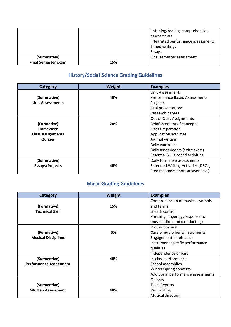|                            |     | Listening/reading comprehension<br>assessments<br>Integrated performance assessments<br>Timed writings<br>Essays |
|----------------------------|-----|------------------------------------------------------------------------------------------------------------------|
| (Summative)                |     | Final semester assessment                                                                                        |
| <b>Final Semester Exam</b> | 15% |                                                                                                                  |

### **History/Social Science Grading Guidelines**

| Category                 | Weight | <b>Examples</b>                           |
|--------------------------|--------|-------------------------------------------|
|                          |        | Unit Assessments                          |
| (Summative)              | 40%    | <b>Performance Based Assessments</b>      |
| <b>Unit Assessments</b>  |        | Projects                                  |
|                          |        | Oral presentations                        |
|                          |        | Research papers                           |
|                          |        | Out of Class Assignments                  |
| (Formative)              | 20%    | Reinforcement of concepts                 |
| <b>Homework</b>          |        | <b>Class Preparation</b>                  |
| <b>Class Assignments</b> |        | Application activities                    |
| <b>Quizzes</b>           |        | Journal writing                           |
|                          |        | Daily warm-ups                            |
|                          |        | Daily assessments (exit tickets)          |
|                          |        | <b>Essential Skills-based activities</b>  |
| (Summative)              |        | Daily formative assessments               |
| <b>Essays/Projects</b>   | 40%    | <b>Extended Writing Activities (DBQs,</b> |
|                          |        | Free response, short answer, etc.)        |

### **Music Grading Guidelines**

| Category                      | Weight | <b>Examples</b>                    |
|-------------------------------|--------|------------------------------------|
|                               |        | Comprehension of musical symbols   |
| (Formative)                   | 15%    | and terms                          |
| <b>Technical Skill</b>        |        | Breath control                     |
|                               |        | Phrasing, fingering, response to   |
|                               |        | musical direction (conducting)     |
|                               |        | Proper posture                     |
| (Formative)                   | 5%     | Care of equipment/instruments      |
| <b>Musical Disciplines</b>    |        | Engagement in rehearsal            |
|                               |        | Instrument specific performance    |
|                               |        | qualities                          |
|                               |        | Independence of part               |
| (Summative)                   | 40%    | In-class performance               |
| <b>Performance Assessment</b> |        | School assemblies                  |
|                               |        | Winter/spring concerts             |
|                               |        | Additional performance assessments |
|                               |        | Quizzes                            |
| (Summative)                   |        | <b>Tests Reports</b>               |
| <b>Written Assessment</b>     | 40%    | Part writing                       |
|                               |        | <b>Musical direction</b>           |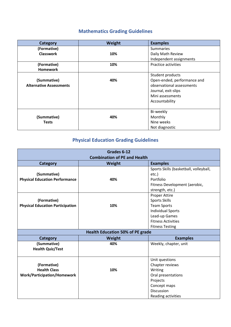### **Mathematics Grading Guidelines**

| Category                       | Weight | <b>Examples</b>             |
|--------------------------------|--------|-----------------------------|
| (Formative)                    |        | <b>Summaries</b>            |
| <b>Classwork</b>               | 10%    | Daily Math Review           |
|                                |        | Independent assignments     |
| (Formative)                    | 10%    | Practice activities         |
| <b>Homework</b>                |        |                             |
|                                |        | Student products            |
| (Summative)                    | 40%    | Open-ended, performance and |
| <b>Alternative Assessments</b> |        | observational assessments   |
|                                |        | Journal, exit-slips         |
|                                |        | Mini assessments            |
|                                |        | Accountability              |
|                                |        |                             |
|                                |        | Bi-weekly                   |
| (Summative)                    | 40%    | Monthly                     |
| <b>Tests</b>                   |        | Nine weeks                  |
|                                |        | Not diagnostic              |

### **Physical Education Grading Guidelines**

| Grades 6-12<br><b>Combination of PE and Health</b> |                                         |                                        |
|----------------------------------------------------|-----------------------------------------|----------------------------------------|
| Category                                           | Weight                                  | <b>Examples</b>                        |
|                                                    |                                         | Sports Skills (basketball, volleyball, |
| (Summative)                                        |                                         | etc.)                                  |
| <b>Physical Education Performance</b>              | 40%                                     | Portfolio                              |
|                                                    |                                         | Fitness Development (aerobic,          |
|                                                    |                                         | strength, etc.)                        |
|                                                    |                                         | Proper Attire                          |
| (Formative)                                        |                                         | <b>Sports Skills</b>                   |
| <b>Physical Education Participation</b>            | 10%                                     | <b>Team Sports</b>                     |
|                                                    |                                         | <b>Individual Sports</b>               |
|                                                    |                                         | Lead-up Games                          |
|                                                    |                                         | <b>Fitness Activities</b>              |
|                                                    |                                         | <b>Fitness Testing</b>                 |
|                                                    | <b>Health Education 50% of PE grade</b> |                                        |
| Category                                           | Weight                                  | <b>Examples</b>                        |
| (Summative)                                        | 40%                                     | Weekly, chapter, unit                  |
| <b>Health Quiz/Test</b>                            |                                         |                                        |
|                                                    |                                         |                                        |
|                                                    |                                         | Unit questions                         |
| (Formative)                                        |                                         | Chapter reviews                        |
| <b>Health Class</b>                                | 10%                                     | Writing                                |
| <b>Work/Participation/Homework</b>                 |                                         | Oral presentations                     |
|                                                    |                                         | Projects                               |
|                                                    |                                         | Concept maps                           |
|                                                    |                                         | <b>Discussion</b>                      |
|                                                    |                                         | Reading activities                     |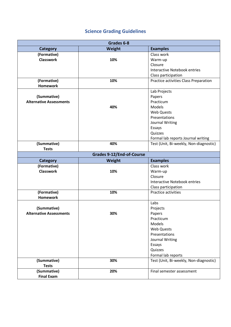### **Science Grading Guidelines**

| Grades 6-8                     |                                  |                                        |
|--------------------------------|----------------------------------|----------------------------------------|
| <b>Category</b>                | Weight                           | <b>Examples</b>                        |
| (Formative)                    |                                  | Class work                             |
| <b>Classwork</b>               | 10%                              | Warm-up                                |
|                                |                                  | Closure                                |
|                                |                                  | <b>Interactive Notebook entries</b>    |
|                                |                                  | Class participation                    |
| (Formative)                    | 10%                              | Practice activities Class Preparation  |
| <b>Homework</b>                |                                  |                                        |
|                                |                                  | Lab Projects                           |
| (Summative)                    |                                  | Papers                                 |
| <b>Alternative Assessments</b> |                                  | Practicum                              |
|                                | 40%                              | Models                                 |
|                                |                                  | <b>Web Quests</b>                      |
|                                |                                  | Presentations                          |
|                                |                                  | Journal Writing                        |
|                                |                                  | Essays                                 |
|                                |                                  | Quizzes                                |
|                                |                                  | Formal lab reports Journal writing     |
| (Summative)                    | 40%                              | Test (Unit, Bi-weekly, Non-diagnostic) |
| <b>Tests</b>                   |                                  |                                        |
|                                | <b>Grades 9-12/End-of-Course</b> |                                        |
| <b>Category</b>                | Weight                           | <b>Examples</b>                        |
| (Formative)                    |                                  | Class work                             |
| <b>Classwork</b>               | 10%                              | Warm-up                                |
|                                |                                  | Closure                                |
|                                |                                  | <b>Interactive Notebook entries</b>    |
|                                |                                  | Class participation                    |
| (Formative)                    | 10%                              | Practice activities                    |
| <b>Homework</b>                |                                  |                                        |
|                                |                                  | Labs                                   |
| (Summative)                    |                                  | Projects                               |
| <b>Alternative Assessments</b> | 30%                              | Papers                                 |
|                                |                                  | Practicum                              |
|                                |                                  | Models                                 |
|                                |                                  |                                        |
|                                |                                  | <b>Web Quests</b>                      |
|                                |                                  | Presentations                          |
|                                |                                  | Journal Writing                        |
|                                |                                  | Essays                                 |
|                                |                                  | Quizzes                                |
|                                |                                  | Formal lab reports                     |
| (Summative)                    | 30%                              |                                        |
| <b>Tests</b>                   |                                  | Test (Unit, Bi-weekly, Non-diagnostic) |
| (Summative)                    | 20%                              | Final semester assessment              |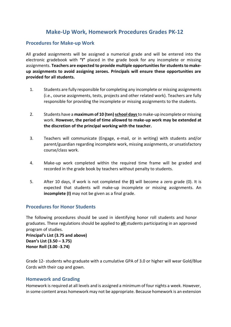### **Make-Up Work, Homework Procedures Grades PK-12**

### **Procedures for Make-up Work**

All graded assignments will be assigned a numerical grade and will be entered into the electronic gradebook with **"I"** placed in the grade book for any incomplete or missing assignments. **Teachers are expected to provide multiple opportunities for students to makeup assignments to avoid assigning zeroes. Principals will ensure these opportunities are provided for all students.**

- 1. Students are fully responsible for completing any incomplete or missing assignments (i.e., course assignments, tests, projects and other related work). Teachers are fully responsible for providing the incomplete or missing assignments to the students.
- 2. Students have a **maximum of 10 (ten) school days** to make-up incomplete or missing work. **However, the period of time allowed to make-up work may be extended at the discretion of the principal working with the teacher.**
- 3. Teachers will communicate (Engage, e-mail, or in writing) with students and/or parent/guardian regarding incomplete work, missing assignments, or unsatisfactory course/class work.
- 4. Make-up work completed within the required time frame will be graded and recorded in the grade book by teachers without penalty to students.
- 5. After 10 days, if work is not completed the **(I)** will become a zero grade (0). It is expected that students will make-up incomplete or missing assignments. An **incomplete (I)** may not be given as a final grade.

### **Procedures for Honor Students**

The following procedures should be used in identifying honor roll students and honor graduates. These regulations should be applied to **all** students participating in an approved program of studies.

**Principal's List (3.75 and above) Dean's List (3.50 – 3.75) Honor Roll (3.00 -3.74)**

Grade 12- students who graduate with a cumulative GPA of 3.0 or higher will wear Gold/Blue Cords with their cap and gown.

### **Homework and Grading**

Homework is required at all levels and is assigned a minimum of four nights a week. However, in some content areas homework may not be appropriate. Because homework is an extension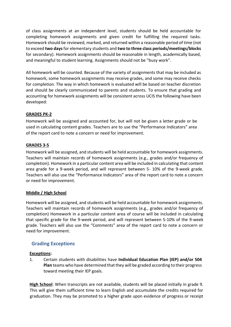of class assignments at an independent level, students should be held accountable for completing homework assignments and given credit for fulfilling the required tasks. Homework should be reviewed, marked, and returned within a reasonable period of time (not to exceed **two days** for elementary students and **two to three class periods/meetings/blocks**  for secondary). Homework assignments should be reasonable in length, academically based, and meaningful to student learning. Assignments should not be "busy work".

All homework will be counted. Because of the variety of assignments that may be included as homework, some homework assignments may receive grades, and some may receive checks for completion. The way in which homework is evaluated will be based on teacher discretion and should be clearly communicated to parents and students. To ensure that grading and accounting for homework assignments will be consistent across UCIS the following have been developed:

### **GRADES PK-2**

Homework will be assigned and accounted for, but will not be given a letter grade or be used in calculating content grades. Teachers are to use the "Performance Indicators" area of the report card to note a concern or need for improvement.

### **GRADES 3-5**

Homework will be assigned, and students will be held accountable for homework assignments. Teachers will maintain records of homework assignments (e.g., grades and/or frequency of completion). Homework in a particular content area will be included in calculating that content area grade for a 9-week period, and will represent between 5- 10% of the 9-week grade. Teachers will also use the "Performance Indicators" area of the report card to note a concern or need for improvement.

### **Middle / High School**

Homework will be assigned, and students will be held accountable for homework assignments. Teachers will maintain records of homework assignments (e.g., grades and/or frequency of completion) Homework in a particular content area of course will be included in calculating that specific grade for the 9-week period, and will represent between 5-10% of the 9-week grade. Teachers will also use the "Comments" area of the report card to note a concern or need for improvement.

### **Grading Exceptions**

### **Exceptions:**

1. Certain students with disabilities have **Individual Education Plan (IEP) and/or 504 Plan** teams who have determined that they will be graded according to their progress toward meeting their IEP goals.

**High School**: When transcripts are not available, students will be placed initially in grade 9. This will give them sufficient time to learn English and accumulate the credits required for graduation. They may be promoted to a higher grade upon evidence of progress or receipt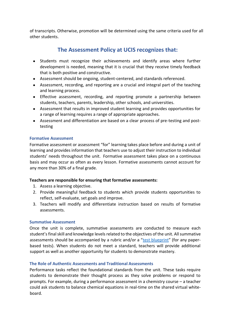of transcripts. Otherwise, promotion will be determined using the same criteria used for all other students.

### **The Assessment Policy at UCIS recognizes that:**

- Students must recognize their achievements and identify areas where further development is needed, meaning that it is crucial that they receive timely feedback that is both positive and constructive.
- Assessment should be ongoing, student-centered, and standards referenced.
- Assessment, recording, and reporting are a crucial and integral part of the teaching and learning process.
- Effective assessment, recording, and reporting promote a partnership between students, teachers, parents, leadership, other schools, and universities.
- Assessment that results in improved student learning and provides opportunities for a range of learning requires a range of appropriate approaches.
- Assessment and differentiation are based on a clear process of pre-testing and posttesting

### **Formative Assessment**

Formative assessment or assessment "for" learning takes place before and during a unit of learning and provides information that teachers use to adjust their instruction to individual students' needs throughout the unit. Formative assessment takes place on a continuous basis and may occur as often as every lesson. Formative assessments cannot account for any more than 30% of a final grade.

### **Teachers are responsible for ensuring that formative assessments:**

- 1. Assess a learning objective.
- 2. Provide meaningful feedback to students which provide students opportunities to reflect, self-evaluate, set goals and improve.
- 3. Teachers will modify and differentiate instruction based on results of formative assessments.

### **Summative Assessment**

Once the unit is complete, summative assessments are conducted to measure each student's final skill and knowledge levels related to the objectives of the unit. All summative assessments should be accompanied by a rubric and/or a "[test blueprint](https://weber.instructure.com/courses/351442/pages/create-test-blueprint)" (for any paperbased tests). When students do not meet a standard, teachers will provide additional support as well as another opportunity for students to demonstrate mastery.

### **The Role of Authentic Assessments and Traditional Assessments**

Performance tasks reflect the foundational standards from the unit. These tasks require students to demonstrate their thought process as they solve problems or respond to prompts. For example, during a performance assessment in a chemistry course – a teacher could ask students to balance chemical equations in real-time on the shared virtual whiteboard.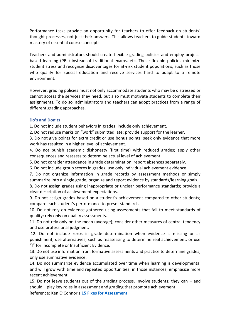Performance tasks provide an opportunity for teachers to offer feedback on students' thought processes, not just their answers. This allows teachers to guide students toward mastery of essential course concepts.

Teachers and administrators should create flexible grading policies and employ projectbased learning (PBL) instead of traditional exams, etc. These flexible policies minimize student stress and recognize disadvantages for at-risk student populations, such as those who qualify for special education and receive services hard to adapt to a remote environment.

However, grading policies must not only accommodate students who may be distressed or cannot access the services they need, but also must motivate students to complete their assignments. To do so, administrators and teachers can adopt practices from a range of different grading approaches.

#### **Do's and Don'ts**

1. Do not include student behaviors in grades; include only achievement.

2. Do not reduce marks on "work" submitted late; provide support for the learner.

3. Do not give points for extra credit or use bonus points; seek only evidence that more work has resulted in a higher level of achievement.

4. Do not punish academic dishonesty (first time) with reduced grades; apply other consequences and reassess to determine actual level of achievement.

5. Do not consider attendance in grade determination; report absences separately.

6. Do not include group scores in grades; use only individual achievement evidence.

7. Do not organize information in grade records by assessment methods or simply summarize into a single grade; organize and report evidence by standards/learning goals.

8. Do not assign grades using inappropriate or unclear performance standards; provide a clear description of achievement expectations.

9. Do not assign grades based on a student's achievement compared to other students; compare each student's performance to preset standards.

10. Do not rely on evidence gathered using assessments that fail to meet standards of quality; rely only on quality assessments.

11. Do not rely only on the mean (average); consider other measures of central tendency and use professional judgment.

12. Do not include zeros in grade determination when evidence is missing or as punishment; use alternatives, such as reassessing to determine real achievement, or use "I" for Incomplete or Insufficient Evidence.

13. Do not use information from formative assessments and practice to determine grades; only use summative evidence.

14. Do not summarize evidence accumulated over time when learning is developmental and will grow with time and repeated opportunities; in those instances, emphasize more recent achievement.

15. Do not leave students out of the grading process. Involve students; they can – and should – play key roles in assessment and grading that promote achievement. Reference: Ken O'Connor's **[15 Fixes for Assessment](https://www.cosa.k12.or.us/sites/default/files/materials/events/debbie_connolly5.pdf)**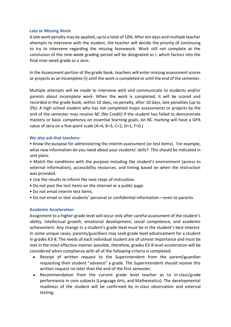### **Late or Missing Work**

A late work penalty may be applied, up to a total of 10%. After ten days and multiple teacher attempts to intervene with the student, the teacher will decide the priority of continuing to try to intervene regarding the missing homework. Work still not complete at the conclusion of the nine-week grading period will be designated as I, which factors into the final nine-week grade as a zero.

In the Assessment portion of the grade book, teachers will enter missing assessment scores or projects as an Incomplete (I) until the work is completed or until the end of the semester.

Multiple attempts will be made to intervene with and communicate to students and/or parents about incomplete work. When the work is completed, it will be scored and recorded in the grade book, within 10 days, no penalty, after 10 days, late penalties (up to 5%). A high school student who has not completed major assessments or projects by the end of the semester may receive NC (No Credit) if the student has failed to demonstrate mastery or basic competency on essential learning goals. An NC marking will have a GPA value of zero on a five-point scale (A=4, B=3, C=2, D=1, F=0.)

#### **We also ask that teachers:**

• Know the purpose for administering the interim assessment (or test items). For example, what new information do you need about your students' skills? This should be indicated in unit plans.

• Match the conditions with the purpose including the student's environment (access to external information), accessibility resources, and timing based on when the instruction was provided.

- Use the results to inform the next steps of instruction.
- Do not post the test items on the internet or a public page.
- Do not email interim test items.
- Do not email or text students' personal or confidential information—even to parents.

### **Academic Acceleration**

Assignment to a higher-grade level will occur only after careful assessment of the student's ability, intellectual growth, emotional development, social competence, and academic achievement. Any change in a student's grade level must be in the student's best interest. In some unique cases, parents/guardians may seek grade level advancement for a student in grades K3-8. The needs of each individual student are of utmost importance and must be met in the most effective manner possible; therefore, grades K3-8 level acceleration will be considered when compliance with all of the following criteria is completed:

- Receipt of written request to the Superintendent from the parent/guardian requesting their student "advance" a grade. The Superintendent should receive this written request no later than the end of the first semester;
- Recommendation from the current grade level teacher as to in-class/grade performance in core subjects (Language Arts, and Mathematics). The developmental readiness of the student will be confirmed by in-class observation and external testing;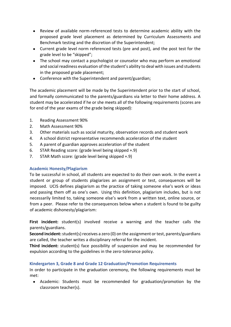- Review of available norm-referenced tests to determine academic ability with the proposed grade level placement as determined by Curriculum Assessments and Benchmark testing and the discretion of the Superintendent;
- Current grade level norm referenced tests (pre and post), and the post test for the grade level to be "skipped";
- The school may contact a psychologist or counselor who may perform an emotional and social readiness evaluation of the student's ability to deal with issues and students in the proposed grade placement;
- Conference with the Superintendent and parent/guardian;

The academic placement will be made by the Superintendent prior to the start of school, and formally communicated to the parents/guardians via letter to their home address. A student may be accelerated if he or she meets all of the following requirements (scores are for end of the year exams of the grade being skipped):

- 1. Reading Assessment 90%
- 2. Math Assessment 90%
- 3. Other materials such as social maturity, observation records and student work
- 4. A school district representative recommends acceleration of the student
- 5. A parent of guardian approves acceleration of the student
- 6. STAR Reading score: (grade level being skipped +.9)
- 7. STAR Math score: (grade level being skipped +.9)

### **Academic Honesty/Plagiarism**

To be successful in school, all students are expected to do their own work. In the event a student or group of students plagiarizes an assignment or test, consequences will be imposed. UCIS defines plagiarism as the practice of taking someone else's work or ideas and passing them off as one's own. Using this definition, plagiarism includes, but is not necessarily limited to, taking someone else's work from a written text, online source, or from a peer. Please refer to the consequences below when a student is found to be guilty of academic dishonesty/plagiarism:

**First incident:** student(s) involved receive a warning and the teacher calls the parents/guardians.

**Second incident:**student(s) receives a zero (0) on the assignment or test, parents/guardians are called, the teacher writes a disciplinary referral for the incident.

**Third incident:** student(s) face possibility of suspension and may be recommended for expulsion according to the guidelines in the zero-tolerance policy.

### **Kindergarten 3, Grade 8 and Grade 12 Graduation/Promotion Requirements**

In order to participate in the graduation ceremony, the following requirements must be met:

● Academic: Students must be recommended for graduation/promotion by the classroom teacher(s).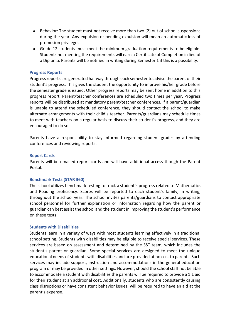- Behavior: The student must not receive more than two (2) out of school suspensions during the year. Any expulsion or pending expulsion will mean an automatic loss of promotion privileges.
- Grade 12 students must meet the minimum graduation requirements to be eligible. Students not meeting the requirements will earn a Certificate of Completion in lieu of a Diploma. Parents will be notified in writing during Semester 1 if this is a possibility.

#### **Progress Reports**

Progress reports are generated halfway through each semester to advise the parent of their student's progress. This gives the student the opportunity to improve his/her grade before the semester grade is issued. Other progress reports may be sent home in addition to this progress report. Parent/teacher conferences are scheduled two times per year. Progress reports will be distributed at mandatory parent/teacher conferences. If a parent/guardian is unable to attend the scheduled conference, they should contact the school to make alternate arrangements with their child's teacher. Parents/guardians may schedule times to meet with teachers on a regular basis to discuss their student's progress, and they are encouraged to do so.

Parents have a responsibility to stay informed regarding student grades by attending conferences and reviewing reports.

#### **Report Cards**

Parents will be emailed report cards and will have additional access though the Parent Portal.

#### **Benchmark Tests (STAR 360)**

The school utilizes benchmark testing to track a student's progress related to Mathematics and Reading proficiency. Scores will be reported to each student's family, in writing, throughout the school year. The school invites parents/guardians to contact appropriate school personnel for further explanation or information regarding how the parent or guardian can best assist the school and the student in improving the student's performance on these tests.

#### **Students with Disabilities**

Students learn in a variety of ways with most students learning effectively in a traditional school setting. Students with disabilities may be eligible to receive special services. These services are based on assessment and determined by the SST team, which includes the student's parent or guardian. Some special services are designed to meet the unique educational needs of students with disabilities and are provided at no cost to parents. Such services may include support, instruction and accommodations in the general education program or may be provided in other settings. However, should the school staff not be able to accommodate a student with disabilities the parents will be required to provide a 1:1 aid for their student at an additional cost. Additionally, students who are consistently causing class disruptions or have consistent behavior issues, will be required to have an aid at the parent's expense.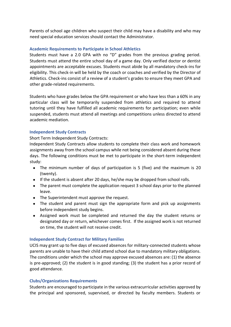Parents of school age children who suspect their child may have a disability and who may need special education services should contact the Administrator.

### **Academic Requirements to Participate in School Athletics**

Students must have a 2.0 GPA with no "D" grades from the previous grading period. Students must attend the entire school day of a game day. Only verified doctor or dentist appointments are acceptable excuses. Students must abide by all mandatory check-ins for eligibility. This check-in will be held by the coach or coaches and verified by the Director of Athletics. Check-ins consist of a review of a student's grades to ensure they meet GPA and other grade-related requirements.

Students who have grades below the GPA requirement or who have less than a 60% in any particular class will be temporarily suspended from athletics and required to attend tutoring until they have fulfilled all academic requirements for participation; even while suspended, students must attend all meetings and competitions unless directed to attend academic mediation.

### **Independent Study Contracts**

Short Term Independent Study Contracts:

Independent Study Contracts allow students to complete their class work and homework assignments away from the school campus while not being considered absent during these days. The following conditions must be met to participate in the short-term independent study:

- The minimum number of days of participation is 5 (five) and the maximum is 20 (twenty).
- If the student is absent after 20 days, he/she may be dropped from school rolls.
- The parent must complete the application request 3 school days prior to the planned leave.
- The Superintendent must approve the request.
- The student and parent must sign the appropriate form and pick up assignments before independent study begins.
- Assigned work must be completed and returned the day the student returns or designated day or return, whichever comes first. If the assigned work is not returned on time, the student will not receive credit.

### **Independent Study Contract for Military Families**

UCIS may grant up to five days of excused absences for military-connected students whose parents are unable to have their child attend school due to mandatory military obligations. The conditions under which the school may approve excused absences are: (1) the absence is pre-approved; (2) the student is in good standing; (3) the student has a prior record of good attendance.

### **Clubs/Organizations Requirements**

Students are encouraged to participate in the various extracurricular activities approved by the principal and sponsored, supervised, or directed by faculty members. Students or